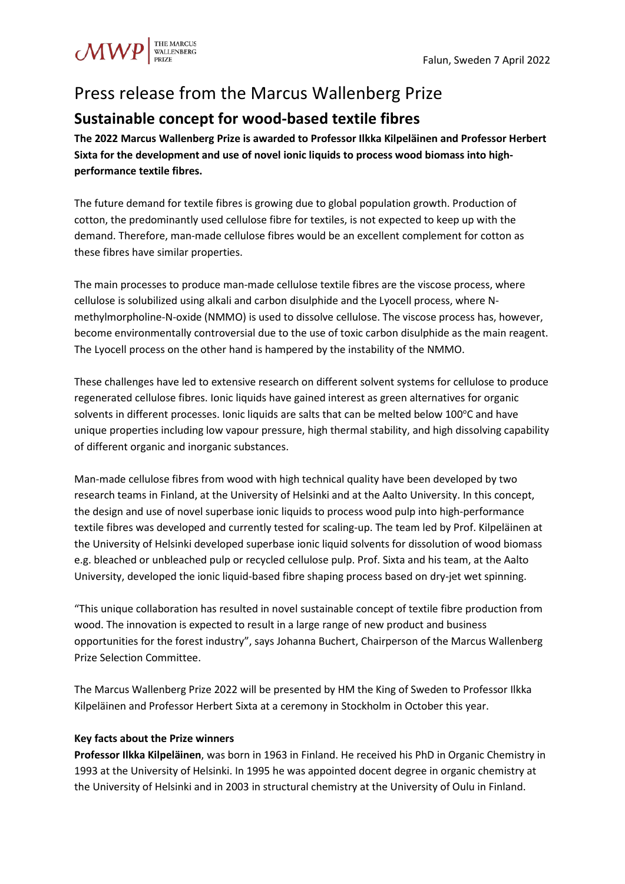## Press release from the Marcus Wallenberg Prize

## **Sustainable concept for wood-based textile fibres**

**The 2022 Marcus Wallenberg Prize is awarded to Professor Ilkka Kilpeläinen and Professor Herbert Sixta for the development and use of novel ionic liquids to process wood biomass into highperformance textile fibres.**

The future demand for textile fibres is growing due to global population growth. Production of cotton, the predominantly used cellulose fibre for textiles, is not expected to keep up with the demand. Therefore, man-made cellulose fibres would be an excellent complement for cotton as these fibres have similar properties.

The main processes to produce man-made cellulose textile fibres are the viscose process, where cellulose is solubilized using alkali and carbon disulphide and the Lyocell process, where Nmethylmorpholine-N-oxide (NMMO) is used to dissolve cellulose. The viscose process has, however, become environmentally controversial due to the use of toxic carbon disulphide as the main reagent. The Lyocell process on the other hand is hampered by the instability of the NMMO.

These challenges have led to extensive research on different solvent systems for cellulose to produce regenerated cellulose fibres. Ionic liquids have gained interest as green alternatives for organic solvents in different processes. Ionic liquids are salts that can be melted below 100°C and have unique properties including low vapour pressure, high thermal stability, and high dissolving capability of different organic and inorganic substances.

Man-made cellulose fibres from wood with high technical quality have been developed by two research teams in Finland, at the University of Helsinki and at the Aalto University. In this concept, the design and use of novel superbase ionic liquids to process wood pulp into high-performance textile fibres was developed and currently tested for scaling-up. The team led by Prof. Kilpeläinen at the University of Helsinki developed superbase ionic liquid solvents for dissolution of wood biomass e.g. bleached or unbleached pulp or recycled cellulose pulp. Prof. Sixta and his team, at the Aalto University, developed the ionic liquid-based fibre shaping process based on dry-jet wet spinning.

"This unique collaboration has resulted in novel sustainable concept of textile fibre production from wood. The innovation is expected to result in a large range of new product and business opportunities for the forest industry", says Johanna Buchert, Chairperson of the Marcus Wallenberg Prize Selection Committee.

The Marcus Wallenberg Prize 2022 will be presented by HM the King of Sweden to Professor Ilkka Kilpeläinen and Professor Herbert Sixta at a ceremony in Stockholm in October this year.

## **Key facts about the Prize winners**

**Professor Ilkka Kilpeläinen**, was born in 1963 in Finland. He received his PhD in Organic Chemistry in 1993 at the University of Helsinki. In 1995 he was appointed docent degree in organic chemistry at the University of Helsinki and in 2003 in structural chemistry at the University of Oulu in Finland.